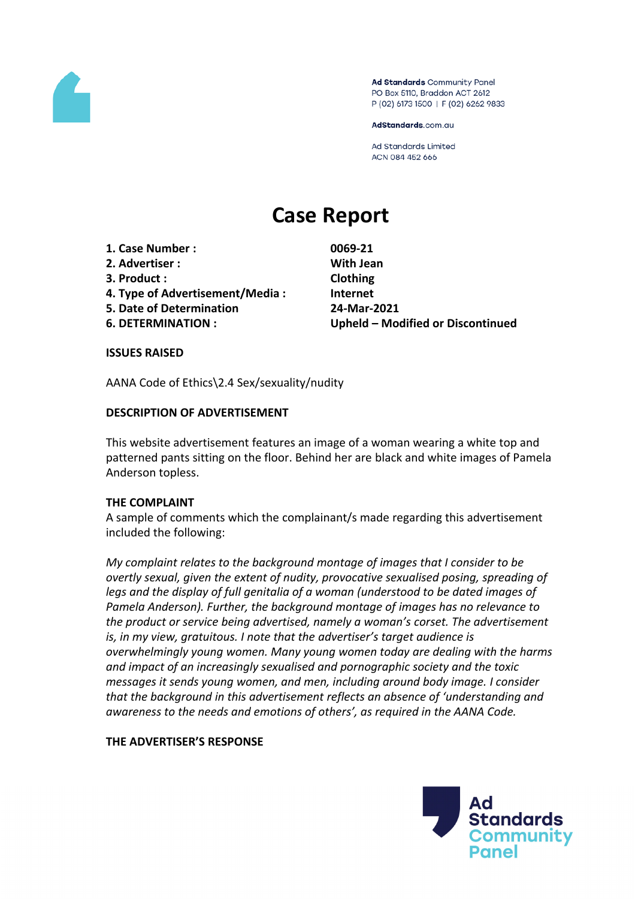

Ad Standards Community Panel PO Box 5110, Braddon ACT 2612 P (02) 6173 1500 | F (02) 6262 9833

AdStandards.com.au

**Ad Standards Limited** ACN 084 452 666

# **Case Report**

- **1. Case Number : 0069-21**
- **2. Advertiser : With Jean**
- **3. Product : Clothing**
- **4. Type of Advertisement/Media : Internet**
- **5. Date of Determination 24-Mar-2021**
- 

**6. DETERMINATION : Upheld – Modified or Discontinued**

#### **ISSUES RAISED**

AANA Code of Ethics\2.4 Sex/sexuality/nudity

#### **DESCRIPTION OF ADVERTISEMENT**

This website advertisement features an image of a woman wearing a white top and patterned pants sitting on the floor. Behind her are black and white images of Pamela Anderson topless.

#### **THE COMPLAINT**

A sample of comments which the complainant/s made regarding this advertisement included the following:

*My complaint relates to the background montage of images that I consider to be overtly sexual, given the extent of nudity, provocative sexualised posing, spreading of legs and the display of full genitalia of a woman (understood to be dated images of Pamela Anderson). Further, the background montage of images has no relevance to the product or service being advertised, namely a woman's corset. The advertisement is, in my view, gratuitous. I note that the advertiser's target audience is overwhelmingly young women. Many young women today are dealing with the harms and impact of an increasingly sexualised and pornographic society and the toxic messages it sends young women, and men, including around body image. I consider that the background in this advertisement reflects an absence of 'understanding and awareness to the needs and emotions of others', as required in the AANA Code.*

#### **THE ADVERTISER'S RESPONSE**

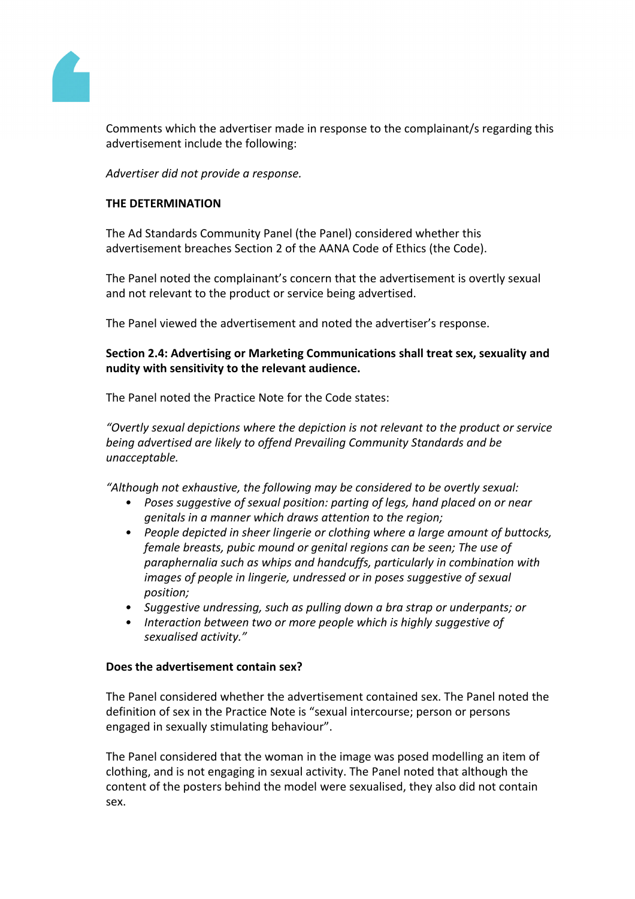

Comments which the advertiser made in response to the complainant/s regarding this advertisement include the following:

*Advertiser did not provide a response.*

### **THE DETERMINATION**

The Ad Standards Community Panel (the Panel) considered whether this advertisement breaches Section 2 of the AANA Code of Ethics (the Code).

The Panel noted the complainant's concern that the advertisement is overtly sexual and not relevant to the product or service being advertised.

The Panel viewed the advertisement and noted the advertiser's response.

# **Section 2.4: Advertising or Marketing Communications shall treat sex, sexuality and nudity with sensitivity to the relevant audience.**

The Panel noted the Practice Note for the Code states:

*"Overtly sexual depictions where the depiction is not relevant to the product or service being advertised are likely to offend Prevailing Community Standards and be unacceptable.*

*"Although not exhaustive, the following may be considered to be overtly sexual:*

- *• Poses suggestive of sexual position: parting of legs, hand placed on or near genitals in a manner which draws attention to the region;*
- *• People depicted in sheer lingerie or clothing where a large amount of buttocks, female breasts, pubic mound or genital regions can be seen; The use of paraphernalia such as whips and handcuffs, particularly in combination with images of people in lingerie, undressed or in poses suggestive of sexual position;*
- *• Suggestive undressing, such as pulling down a bra strap or underpants; or*
- *• Interaction between two or more people which is highly suggestive of sexualised activity."*

#### **Does the advertisement contain sex?**

The Panel considered whether the advertisement contained sex. The Panel noted the definition of sex in the Practice Note is "sexual intercourse; person or persons engaged in sexually stimulating behaviour".

The Panel considered that the woman in the image was posed modelling an item of clothing, and is not engaging in sexual activity. The Panel noted that although the content of the posters behind the model were sexualised, they also did not contain sex.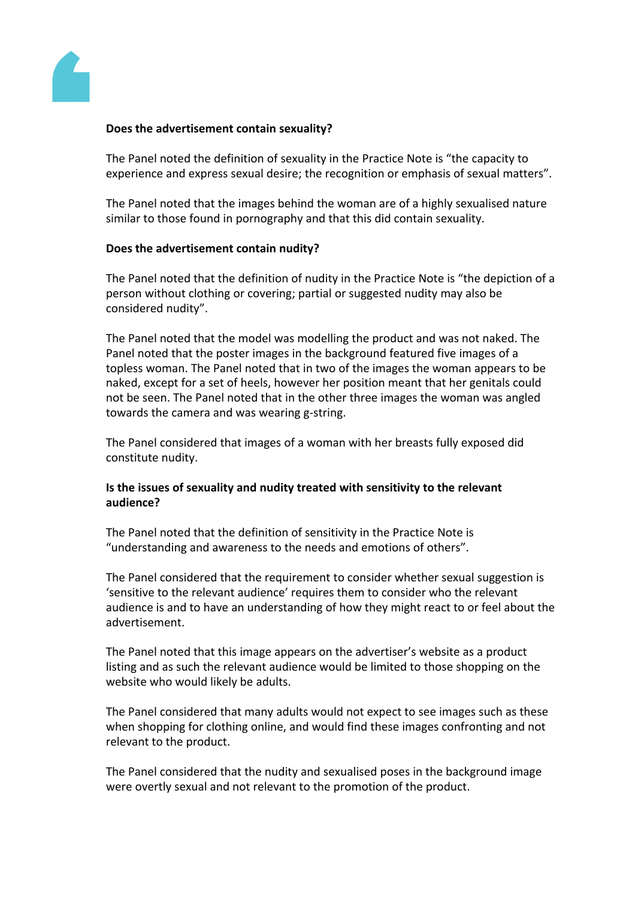

#### **Does the advertisement contain sexuality?**

The Panel noted the definition of sexuality in the Practice Note is "the capacity to experience and express sexual desire; the recognition or emphasis of sexual matters".

The Panel noted that the images behind the woman are of a highly sexualised nature similar to those found in pornography and that this did contain sexuality.

#### **Does the advertisement contain nudity?**

The Panel noted that the definition of nudity in the Practice Note is "the depiction of a person without clothing or covering; partial or suggested nudity may also be considered nudity".

The Panel noted that the model was modelling the product and was not naked. The Panel noted that the poster images in the background featured five images of a topless woman. The Panel noted that in two of the images the woman appears to be naked, except for a set of heels, however her position meant that her genitals could not be seen. The Panel noted that in the other three images the woman was angled towards the camera and was wearing g-string.

The Panel considered that images of a woman with her breasts fully exposed did constitute nudity.

#### **Is the issues of sexuality and nudity treated with sensitivity to the relevant audience?**

The Panel noted that the definition of sensitivity in the Practice Note is "understanding and awareness to the needs and emotions of others".

The Panel considered that the requirement to consider whether sexual suggestion is 'sensitive to the relevant audience' requires them to consider who the relevant audience is and to have an understanding of how they might react to or feel about the advertisement.

The Panel noted that this image appears on the advertiser's website as a product listing and as such the relevant audience would be limited to those shopping on the website who would likely be adults.

The Panel considered that many adults would not expect to see images such as these when shopping for clothing online, and would find these images confronting and not relevant to the product.

The Panel considered that the nudity and sexualised poses in the background image were overtly sexual and not relevant to the promotion of the product.